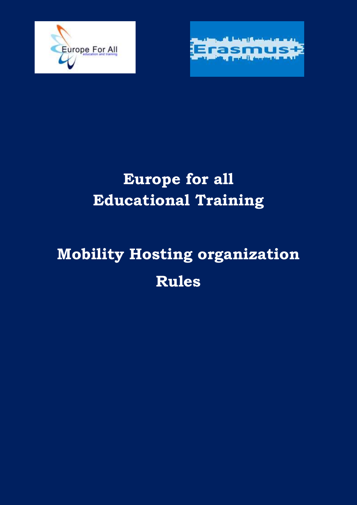



## **Europe for all Educational Training**

# **Mobility Hosting organization Rules**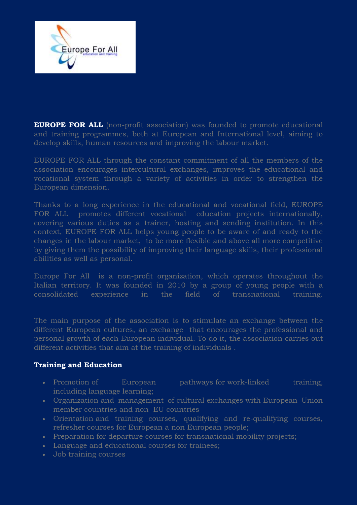

**EUROPE FOR ALL** (non-profit association) was founded to promote educational and training programmes, both at European and International level, aiming to develop skills, human resources and improving the labour market.

EUROPE FOR ALL through the constant commitment of all the members of the association encourages intercultural exchanges, improves the educational and vocational system through a variety of activities in order to strengthen the European dimension.

Thanks to a long experience in the educational and vocational field, EUROPE FOR ALL promotes different vocational education projects internationally, covering various duties as a trainer, hosting and sending institution. In this context, EUROPE FOR ALL helps young people to be aware of and ready to the changes in the labour market, to be more flexible and above all more competitive by giving them the possibility of improving their language skills, their professional abilities as well as personal.

Europe For All is a non-profit organization, which operates throughout the Italian territory. It was founded in 2010 by a group of young people with a consolidated experience in the field of transnational training.

The main purpose of the association is to stimulate an exchange between the different European cultures, an exchange that encourages the professional and personal growth of each European individual. To do it, the association carries out different activities that aim at the training of individuals .

#### **Training and Education**

- Promotion of European pathways for work-linked training, including language learning;
- Organization and management of cultural exchanges with European Union member countries and non EU countries
- Orientation and training courses, qualifying and re-qualifying courses, refresher courses for European a non European people;
- Preparation for departure courses for transnational mobility projects;
- Language and educational courses for trainees;
- Job training courses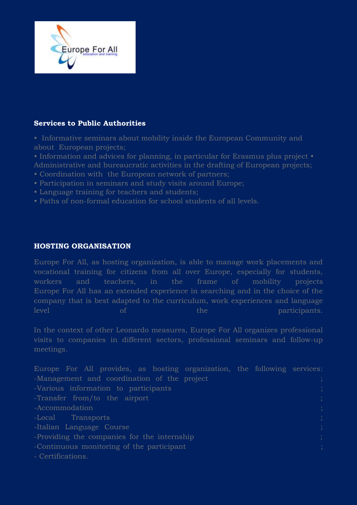

#### **Services to Public Authorities**

- Informative seminars about mobility inside the European Community and about European projects;
- Information and advices for planning, in particular for Erasmus plus project Administrative and bureaucratic activities in the drafting of European projects;
- Coordination with the European network of partners;
- Participation in seminars and study visits around Europe;
- Language training for teachers and students;
- Paths of non-formal education for school students of all levels.

#### **HOSTING ORGANISATION**

Europe For All, as hosting organization, is able to manage work placements and vocational training for citizens from all over Europe, especially for students, workers and teachers, in the frame of mobility projects Europe For All has an extended experience in searching and in the choice of the company that is best adapted to the curriculum, work experiences and language level of the participants.

In the context of other Leonardo measures, Europe For All organizes professional visits to companies in different sectors, professional seminars and follow-up meetings.

Europe For All provides, as hosting organization, the following services: -Management and coordination of the project -Various information to participants ; -Transfer from/to the airport ; -Accommodation -Local Transports ; -Italian Language Course -Providing the companies for the internship ; -Continuous monitoring of the participant ; - Certifications.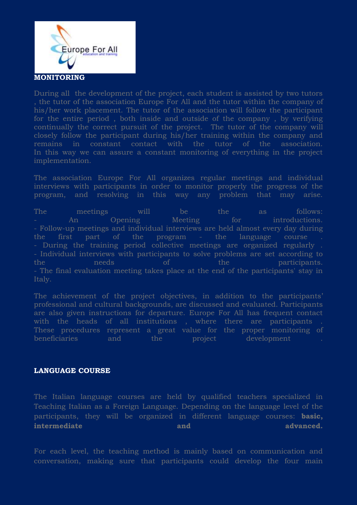

During all the development of the project, each student is assisted by two tutors , the tutor of the association Europe For All and the tutor within the company of his/her work placement. The tutor of the association will follow the participant for the entire period , both inside and outside of the company , by verifying continually the correct pursuit of the project. The tutor of the company will closely follow the participant during his/her training within the company and remains in constant contact with the tutor of the association. In this way we can assure a constant monitoring of everything in the project implementation.

The association Europe For All organizes regular meetings and individual interviews with participants in order to monitor properly the progress of the program, and resolving in this way any problem that may arise.

The meetings will be the as follows: An Opening Meeting for introductions. - Follow-up meetings and individual interviews are held almost every day during the first part of the program - the language course . - During the training period collective meetings are organized regularly . - Individual interviews with participants to solve problems are set according to the needs of the participants. - The final evaluation meeting takes place at the end of the participants' stay in Italy.

The achievement of the project objectives, in addition to the participants' professional and cultural backgrounds, are discussed and evaluated. Participants are also given instructions for departure. Europe For All has frequent contact with the heads of all institutions , where there are participants . These procedures represent a great value for the proper monitoring of beneficiaries and the project development .

### **LANGUAGE COURSE**

The Italian language courses are held by qualified teachers specialized in Teaching Italian as a Foreign Language. Depending on the language level of the participants, they will be organized in different language courses: **basic, intermediate** and **advanced.** 

For each level, the teaching method is mainly based on communication and conversation, making sure that participants could develop the four main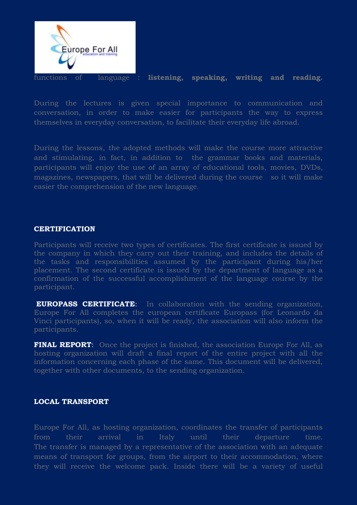

functions of language : **listening, speaking, writing and reading.**

During the lectures is given special importance to communication and conversation, in order to make easier for participants the way to express themselves in everyday conversation, to facilitate their everyday life abroad.

During the lessons, the adopted methods will make the course more attractive and stimulating, in fact, in addition to the grammar books and materials, participants will enjoy the use of an array of educational tools, movies, DVDs, magazines, newspapers, that will be delivered during the course so it will make easier the comprehension of the new language.

#### **CERTIFICATION**

Participants will receive two types of certificates. The first certificate is issued by the company in which they carry out their training, and includes the details of the tasks and responsibilities assumed by the participant during his/her placement. The second certificate is issued by the department of language as a confirmation of the successful accomplishment of the language course by the participant.

**EUROPASS CERTIFICATE:** In collaboration with the sending organization, Europe For All completes the european certificate Europass (for Leonardo da Vinci participants), so, when it will be ready, the association will also inform the participants.

**FINAL REPORT:** Once the project is finished, the association Europe For All, as hosting organization will draft a final report of the entire project with all the information concerning each phase of the same. This document will be delivered, together with other documents, to the sending organization.

#### **LOCAL TRANSPORT**

Europe For All, as hosting organization, coordinates the transfer of participants from their arrival in Italy until their departure time. The transfer is managed by a representative of the association with an adequate means of transport for groups, from the airport to their accommodation, where they will receive the welcome pack. Inside there will be a variety of useful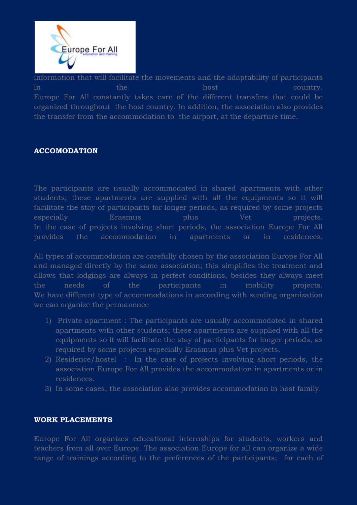

information that will facilitate the movements and the adaptability of participants  $\lim$  in the country  $\lim$  country. Europe For All constantly takes care of the different transfers that could be organized throughout the host country. In addition, the association also provides the transfer from the accommodation to the airport, at the departure time.

#### **ACCOMODATION**

The participants are usually accommodated in shared apartments with other students; these apartments are supplied with all the equipments so it will facilitate the stay of participants for longer periods, as required by some projects especially Erasmus plus Vet projects. In the case of projects involving short periods, the association Europe For All provides the accommodation in apartments or in residences.

All types of accommodation are carefully chosen by the association Europe For All and managed directly by the same association; this simplifies the treatment and allows that lodgings are always in perfect conditions, besides they always meet the needs of the participants in mobility projects. We have different type of accommodations in according with sending organization we can organize the permanence

- 1) Private apartment : The participants are usually accommodated in shared apartments with other students; these apartments are supplied with all the equipments so it will facilitate the stay of participants for longer periods, as required by some projects especially Erasmus plus Vet projects.
- 2) Residence/hostel : In the case of projects involving short periods, the association Europe For All provides the accommodation in apartments or in residences.
- 3) In some cases, the association also provides accommodation in host family.

#### **WORK PLACEMENTS**

Europe For All organizes educational internships for students, workers and teachers from all over Europe. The association Europe for all can organize a wide range of trainings according to the preferences of the participants; for each of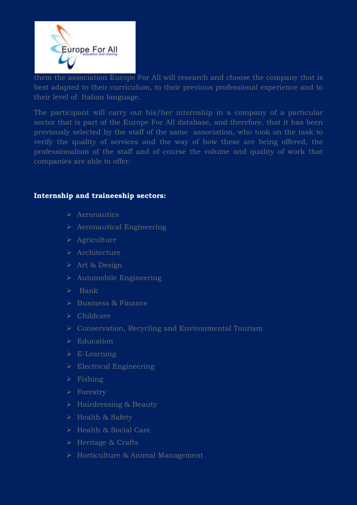

them the association Europe For All will research and choose the company that is best adapted to their curriculum, to their previous professional experience and to their level of Italian language.

The participant will carry out his/her internship in a company of a particular sector that is part of the Europe For All database, and therefore, that it has been previously selected by the staff of the same association, who took on the task to verify the quality of services and the way of how these are being offered, the professionalism of the staff and of course the volume and quality of work that companies are able to offer.

#### **Internship and traineeship sectors:**

- $\triangleright$  Aeronautics
- $\triangleright$  Aeronautical Engineering
- $\triangleright$  Agriculture
- > Architecture
- Art & Design
- $\triangleright$  Automobile Engineering
- $\triangleright$  Bank
- $\triangleright$  Business & Finance
- $\triangleright$  Childcare
- Conservation, Recycling and Environmental Tourism
- $\triangleright$  Education
- $\triangleright$  E-Learning
- $\triangleright$  Electrical Engineering
- $\triangleright$  Fishing
- Forestry
- > Hairdressing & Beauty
- Health & Safety
- $\triangleright$  Health & Social Care
- $\triangleright$  Heritage & Crafts
- Horticulture & Animal Management